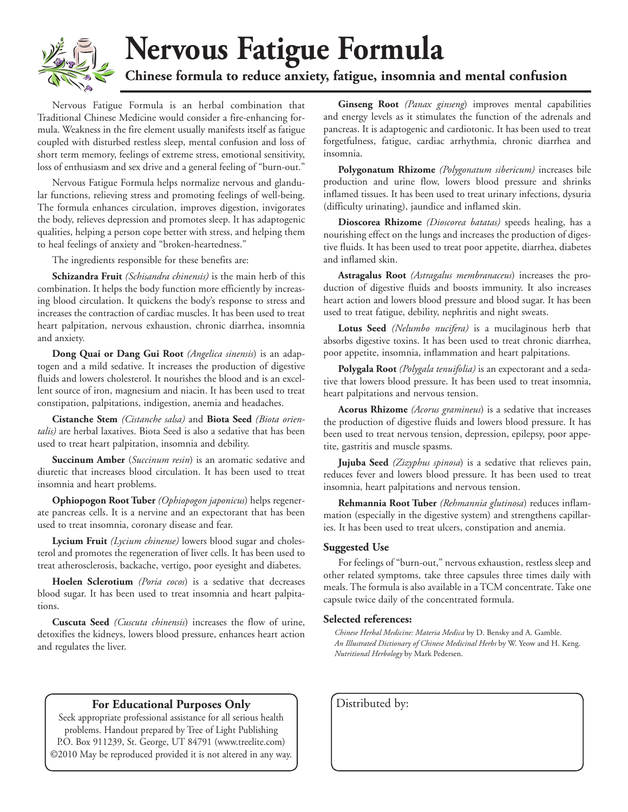

### **Nervous Fatigue Formula Chinese formula to reduce anxiety, fatigue, insomnia and mental confusion**

Nervous Fatigue Formula is an herbal combination that Traditional Chinese Medicine would consider a fire-enhancing formula. Weakness in the fire element usually manifests itself as fatigue coupled with disturbed restless sleep, mental confusion and loss of short term memory, feelings of extreme stress, emotional sensitivity, loss of enthusiasm and sex drive and a general feeling of "burn-out."

Nervous Fatigue Formula helps normalize nervous and glandular functions, relieving stress and promoting feelings of well-being. The formula enhances circulation, improves digestion, invigorates the body, relieves depression and promotes sleep. It has adaptogenic qualities, helping a person cope better with stress, and helping them to heal feelings of anxiety and "broken-heartedness."

The ingredients responsible for these benefits are:

**Schizandra Fruit** *(Schisandra chinensis)* is the main herb of this combination. It helps the body function more efficiently by increasing blood circulation. It quickens the body's response to stress and increases the contraction of cardiac muscles. It has been used to treat heart palpitation, nervous exhaustion, chronic diarrhea, insomnia and anxiety.

**Dong Quai or Dang Gui Root** *(Angelica sinensis*) is an adaptogen and a mild sedative. It increases the production of digestive fluids and lowers cholesterol. It nourishes the blood and is an excellent source of iron, magnesium and niacin. It has been used to treat constipation, palpitations, indigestion, anemia and headaches.

**Cistanche Stem** *(Cistanche salsa)* and **Biota Seed** *(Biota orientalis)* are herbal laxatives. Biota Seed is also a sedative that has been used to treat heart palpitation, insomnia and debility.

**Succinum Amber** (*Succinum resin*) is an aromatic sedative and diuretic that increases blood circulation. It has been used to treat insomnia and heart problems.

**Ophiopogon Root Tuber** *(Ophiopogon japonicus*) helps regenerate pancreas cells. It is a nervine and an expectorant that has been used to treat insomnia, coronary disease and fear.

**Lycium Fruit** *(Lycium chinense)* lowers blood sugar and cholesterol and promotes the regeneration of liver cells. It has been used to treat atherosclerosis, backache, vertigo, poor eyesight and diabetes.

**Hoelen Sclerotium** *(Poria cocos*) is a sedative that decreases blood sugar. It has been used to treat insomnia and heart palpitations.

**Cuscuta Seed** *(Cuscuta chinensis*) increases the flow of urine, detoxifies the kidneys, lowers blood pressure, enhances heart action and regulates the liver.

#### **For Educational Purposes Only** | Distributed by:

Seek appropriate professional assistance for all serious health problems. Handout prepared by Tree of Light Publishing P.O. Box 911239, St. George, UT 84791 (www.treelite.com) ©2010 May be reproduced provided it is not altered in any way.

**Ginseng Root** *(Panax ginseng*) improves mental capabilities and energy levels as it stimulates the function of the adrenals and pancreas. It is adaptogenic and cardiotonic. It has been used to treat forgetfulness, fatigue, cardiac arrhythmia, chronic diarrhea and insomnia.

**Polygonatum Rhizome** *(Polygonatum sibericum)* increases bile production and urine flow, lowers blood pressure and shrinks inflamed tissues. It has been used to treat urinary infections, dysuria (difficulty urinating), jaundice and inflamed skin.

**Dioscorea Rhizome** *(Dioscorea batatas)* speeds healing, has a nourishing effect on the lungs and increases the production of digestive fluids. It has been used to treat poor appetite, diarrhea, diabetes and inflamed skin.

**Astragalus Root** *(Astragalus membranaceus*) increases the production of digestive fluids and boosts immunity. It also increases heart action and lowers blood pressure and blood sugar. It has been used to treat fatigue, debility, nephritis and night sweats.

**Lotus Seed** *(Nelumbo nucifera)* is a mucilaginous herb that absorbs digestive toxins. It has been used to treat chronic diarrhea, poor appetite, insomnia, inflammation and heart palpitations.

**Polygala Root** *(Polygala tenuifolia)* is an expectorant and a sedative that lowers blood pressure. It has been used to treat insomnia, heart palpitations and nervous tension.

**Acorus Rhizome** *(Acorus gramineus*) is a sedative that increases the production of digestive fluids and lowers blood pressure. It has been used to treat nervous tension, depression, epilepsy, poor appetite, gastritis and muscle spasms.

**Jujuba Seed** *(Zizyphus spinosa*) is a sedative that relieves pain, reduces fever and lowers blood pressure. It has been used to treat insomnia, heart palpitations and nervous tension.

**Rehmannia Root Tuber** *(Rehmannia glutinosa*) reduces inflammation (especially in the digestive system) and strengthens capillaries. It has been used to treat ulcers, constipation and anemia.

#### **Suggested Use**

For feelings of "burn-out," nervous exhaustion, restless sleep and other related symptoms, take three capsules three times daily with meals. The formula is also available in a TCM concentrate. Take one capsule twice daily of the concentrated formula.

#### **Selected references:**

*Chinese Herbal Medicine: Materia Medica* by D. Bensky and A. Gamble. *An Illustrated Dictionary of Chinese Medicinal Herbs* by W. Yeow and H. Keng. *Nutritional Herbology* by Mark Pedersen.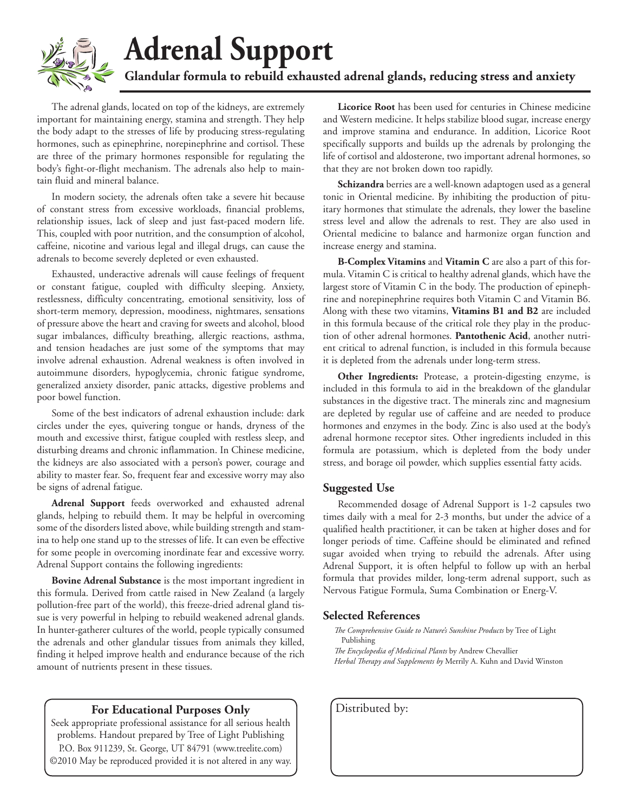

# **Adrenal Support**

Glandular formula to rebuild exhausted adrenal glands, reducing stress and anxiety

The adrenal glands, located on top of the kidneys, are extremely important for maintaining energy, stamina and strength. They help the body adapt to the stresses of life by producing stress-regulating hormones, such as epinephrine, norepinephrine and cortisol. These are three of the primary hormones responsible for regulating the body's fight-or-flight mechanism. The adrenals also help to maintain fluid and mineral balance.

In modern society, the adrenals often take a severe hit because of constant stress from excessive workloads, financial problems, relationship issues, lack of sleep and just fast-paced modern life. This, coupled with poor nutrition, and the consumption of alcohol, caffeine, nicotine and various legal and illegal drugs, can cause the adrenals to become severely depleted or even exhausted.

Exhausted, underactive adrenals will cause feelings of frequent or constant fatigue, coupled with difficulty sleeping. Anxiety, restlessness, difficulty concentrating, emotional sensitivity, loss of short-term memory, depression, moodiness, nightmares, sensations of pressure above the heart and craving for sweets and alcohol, blood sugar imbalances, difficulty breathing, allergic reactions, asthma, and tension headaches are just some of the symptoms that may involve adrenal exhaustion. Adrenal weakness is often involved in autoimmune disorders, hypoglycemia, chronic fatigue syndrome, generalized anxiety disorder, panic attacks, digestive problems and poor bowel function.

Some of the best indicators of adrenal exhaustion include: dark circles under the eyes, quivering tongue or hands, dryness of the mouth and excessive thirst, fatigue coupled with restless sleep, and disturbing dreams and chronic inflammation. In Chinese medicine, the kidneys are also associated with a person's power, courage and ability to master fear. So, frequent fear and excessive worry may also be signs of adrenal fatigue.

**Adrenal Support** feeds overworked and exhausted adrenal glands, helping to rebuild them. It may be helpful in overcoming some of the disorders listed above, while building strength and stamina to help one stand up to the stresses of life. It can even be effective for some people in overcoming inordinate fear and excessive worry. Adrenal Support contains the following ingredients:

**Bovine Adrenal Substance** is the most important ingredient in this formula. Derived from cattle raised in New Zealand (a largely pollution-free part of the world), this freeze-dried adrenal gland tissue is very powerful in helping to rebuild weakened adrenal glands. In hunter-gatherer cultures of the world, people typically consumed the adrenals and other glandular tissues from animals they killed, finding it helped improve health and endurance because of the rich amount of nutrients present in these tissues.

#### **For Educational Purposes Only** | Distributed by:

Seek appropriate professional assistance for all serious health problems. Handout prepared by Tree of Light Publishing P.O. Box 911239, St. George, UT 84791 (www.treelite.com) ©2010 May be reproduced provided it is not altered in any way.

**Licorice Root** has been used for centuries in Chinese medicine and Western medicine. It helps stabilize blood sugar, increase energy and improve stamina and endurance. In addition, Licorice Root specifically supports and builds up the adrenals by prolonging the life of cortisol and aldosterone, two important adrenal hormones, so that they are not broken down too rapidly.

**Schizandra** berries are a well-known adaptogen used as a general tonic in Oriental medicine. By inhibiting the production of pituitary hormones that stimulate the adrenals, they lower the baseline stress level and allow the adrenals to rest. They are also used in Oriental medicine to balance and harmonize organ function and increase energy and stamina.

**B-Complex Vitamins** and **Vitamin C** are also a part of this formula. Vitamin C is critical to healthy adrenal glands, which have the largest store of Vitamin C in the body. The production of epinephrine and norepinephrine requires both Vitamin C and Vitamin B6. Along with these two vitamins, **Vitamins B1 and B2** are included in this formula because of the critical role they play in the production of other adrenal hormones. **Pantothenic Acid**, another nutrient critical to adrenal function, is included in this formula because it is depleted from the adrenals under long-term stress.

**Other Ingredients:** Protease, a protein-digesting enzyme, is included in this formula to aid in the breakdown of the glandular substances in the digestive tract. The minerals zinc and magnesium are depleted by regular use of caffeine and are needed to produce hormones and enzymes in the body. Zinc is also used at the body's adrenal hormone receptor sites. Other ingredients included in this formula are potassium, which is depleted from the body under stress, and borage oil powder, which supplies essential fatty acids.

#### **Suggested Use**

Recommended dosage of Adrenal Support is 1-2 capsules two times daily with a meal for 2-3 months, but under the advice of a qualified health practitioner, it can be taken at higher doses and for longer periods of time. Caffeine should be eliminated and refined sugar avoided when trying to rebuild the adrenals. After using Adrenal Support, it is often helpful to follow up with an herbal formula that provides milder, long-term adrenal support, such as Nervous Fatigue Formula, Suma Combination or Energ-V.

#### **Selected References**

*The Comprehensive Guide to Nature's Sunshine Products* by Tree of Light Publishing *The Encyclopedia of Medicinal Plants* by Andrew Chevallier *Herbal Therapy and Supplements by* Merrily A. Kuhn and David Winston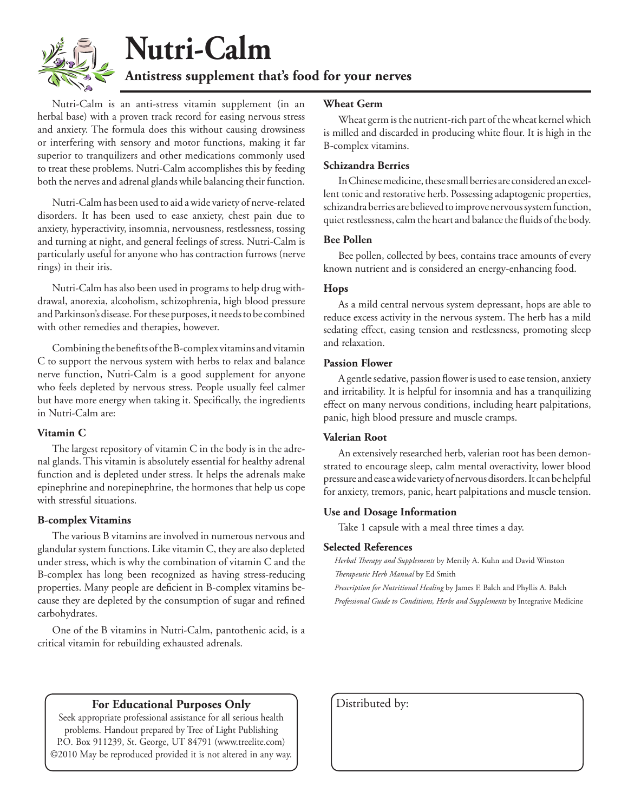

## **Nutri-Calm**

**Antistress supplement that's food for your nerves**

Nutri-Calm is an anti-stress vitamin supplement (in an herbal base) with a proven track record for easing nervous stress and anxiety. The formula does this without causing drowsiness or interfering with sensory and motor functions, making it far superior to tranquilizers and other medications commonly used to treat these problems. Nutri-Calm accomplishes this by feeding both the nerves and adrenal glands while balancing their function.

Nutri-Calm has been used to aid a wide variety of nerve-related disorders. It has been used to ease anxiety, chest pain due to anxiety, hyperactivity, insomnia, nervousness, restlessness, tossing and turning at night, and general feelings of stress. Nutri-Calm is particularly useful for anyone who has contraction furrows (nerve rings) in their iris.

Nutri-Calm has also been used in programs to help drug withdrawal, anorexia, alcoholism, schizophrenia, high blood pressure and Parkinson's disease. For these purposes, it needs to be combined with other remedies and therapies, however.

Combining the benefits of the B-complex vitamins and vitamin C to support the nervous system with herbs to relax and balance nerve function, Nutri-Calm is a good supplement for anyone who feels depleted by nervous stress. People usually feel calmer but have more energy when taking it. Specifically, the ingredients in Nutri-Calm are:

#### **Vitamin C**

The largest repository of vitamin C in the body is in the adrenal glands. This vitamin is absolutely essential for healthy adrenal function and is depleted under stress. It helps the adrenals make epinephrine and norepinephrine, the hormones that help us cope with stressful situations.

#### **B-complex Vitamins**

The various B vitamins are involved in numerous nervous and glandular system functions. Like vitamin C, they are also depleted under stress, which is why the combination of vitamin C and the B-complex has long been recognized as having stress-reducing properties. Many people are deficient in B-complex vitamins because they are depleted by the consumption of sugar and refined carbohydrates.

One of the B vitamins in Nutri-Calm, pantothenic acid, is a critical vitamin for rebuilding exhausted adrenals.

#### **Wheat Germ**

Wheat germ is the nutrient-rich part of the wheat kernel which is milled and discarded in producing white flour. It is high in the B-complex vitamins.

#### **Schizandra Berries**

In Chinese medicine, these small berries are considered an excellent tonic and restorative herb. Possessing adaptogenic properties, schizandra berries are believed to improve nervous system function, quiet restlessness, calm the heart and balance the fluids of the body.

#### **Bee Pollen**

Bee pollen, collected by bees, contains trace amounts of every known nutrient and is considered an energy-enhancing food.

#### **Hops**

As a mild central nervous system depressant, hops are able to reduce excess activity in the nervous system. The herb has a mild sedating effect, easing tension and restlessness, promoting sleep and relaxation.

#### **Passion Flower**

A gentle sedative, passion flower is used to ease tension, anxiety and irritability. It is helpful for insomnia and has a tranquilizing effect on many nervous conditions, including heart palpitations, panic, high blood pressure and muscle cramps.

#### **Valerian Root**

An extensively researched herb, valerian root has been demonstrated to encourage sleep, calm mental overactivity, lower blood pressure and ease a wide variety of nervous disorders. It can be helpful for anxiety, tremors, panic, heart palpitations and muscle tension.

#### **Use and Dosage Information**

Take 1 capsule with a meal three times a day.

#### **Selected References**

*Herbal Therapy and Supplements* by Merrily A. Kuhn and David Winston *Therapeutic Herb Manual* by Ed Smith

*Prescription for Nutritional Healing* by James F. Balch and Phyllis A. Balch *Professional Guide to Conditions, Herbs and Supplements* by Integrative Medicine

#### **For Educational Purposes Only** | Distributed by:

Seek appropriate professional assistance for all serious health problems. Handout prepared by Tree of Light Publishing P.O. Box 911239, St. George, UT 84791 (www.treelite.com) ©2010 May be reproduced provided it is not altered in any way.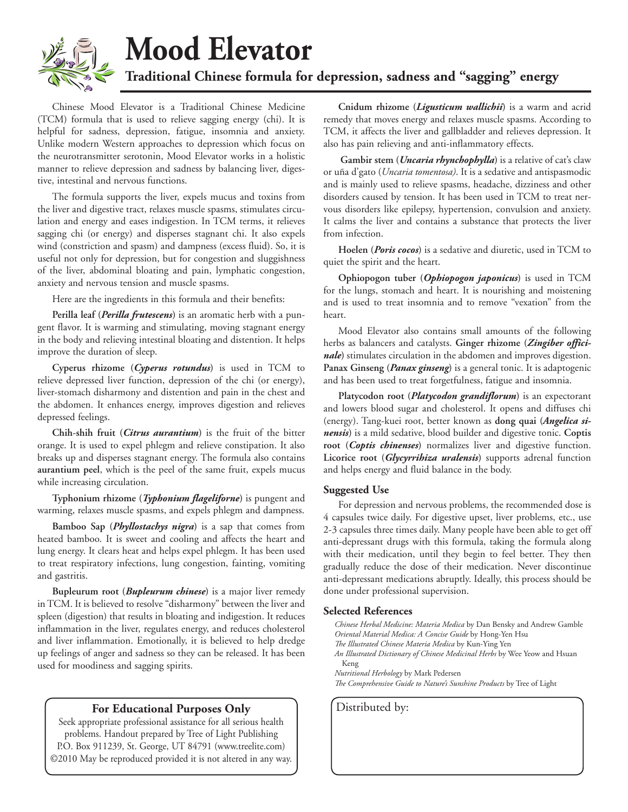

## **Mood Elevator**

**Traditional Chinese formula for depression, sadness and "sagging" energy**

Chinese Mood Elevator is a Traditional Chinese Medicine (TCM) formula that is used to relieve sagging energy (chi). It is helpful for sadness, depression, fatigue, insomnia and anxiety. Unlike modern Western approaches to depression which focus on the neurotransmitter serotonin, Mood Elevator works in a holistic manner to relieve depression and sadness by balancing liver, digestive, intestinal and nervous functions.

The formula supports the liver, expels mucus and toxins from the liver and digestive tract, relaxes muscle spasms, stimulates circulation and energy and eases indigestion. In TCM terms, it relieves sagging chi (or energy) and disperses stagnant chi. It also expels wind (constriction and spasm) and dampness (excess fluid). So, it is useful not only for depression, but for congestion and sluggishness of the liver, abdominal bloating and pain, lymphatic congestion, anxiety and nervous tension and muscle spasms.

Here are the ingredients in this formula and their benefits:

**Perilla leaf (***Perilla frutescens***)** is an aromatic herb with a pungent flavor. It is warming and stimulating, moving stagnant energy in the body and relieving intestinal bloating and distention. It helps improve the duration of sleep.

**Cyperus rhizome (***Cyperus rotundus***)** is used in TCM to relieve depressed liver function, depression of the chi (or energy), liver-stomach disharmony and distention and pain in the chest and the abdomen. It enhances energy, improves digestion and relieves depressed feelings.

**Chih-shih fruit (***Citrus aurantium***)** is the fruit of the bitter orange. It is used to expel phlegm and relieve constipation. It also breaks up and disperses stagnant energy. The formula also contains **aurantium peel**, which is the peel of the same fruit, expels mucus while increasing circulation.

**Typhonium rhizome (***Typhonium flageliforne***)** is pungent and warming, relaxes muscle spasms, and expels phlegm and dampness.

**Bamboo Sap (***Phyllostachys nigra***)** is a sap that comes from heated bamboo. It is sweet and cooling and affects the heart and lung energy. It clears heat and helps expel phlegm. It has been used to treat respiratory infections, lung congestion, fainting, vomiting and gastritis.

**Bupleurum root (***Bupleurum chinese***)** is a major liver remedy in TCM. It is believed to resolve "disharmony" between the liver and spleen (digestion) that results in bloating and indigestion. It reduces inflammation in the liver, regulates energy, and reduces cholesterol and liver inflammation. Emotionally, it is believed to help dredge up feelings of anger and sadness so they can be released. It has been used for moodiness and sagging spirits.

#### **For Educational Purposes Only** | Distributed by:

Seek appropriate professional assistance for all serious health problems. Handout prepared by Tree of Light Publishing P.O. Box 911239, St. George, UT 84791 (www.treelite.com) ©2010 May be reproduced provided it is not altered in any way.

**Cnidum rhizome (***Ligusticum wallichii***)** is a warm and acrid remedy that moves energy and relaxes muscle spasms. According to TCM, it affects the liver and gallbladder and relieves depression. It also has pain relieving and anti-inflammatory effects.

**Gambir stem (***Uncaria rhynchophylla***)** is a relative of cat's claw or uña d'gato (*Uncaria tomentosa)*. It is a sedative and antispasmodic and is mainly used to relieve spasms, headache, dizziness and other disorders caused by tension. It has been used in TCM to treat nervous disorders like epilepsy, hypertension, convulsion and anxiety. It calms the liver and contains a substance that protects the liver from infection.

**Hoelen (***Poris cocos***)** is a sedative and diuretic, used in TCM to quiet the spirit and the heart.

**Ophiopogon tuber (***Ophiopogon japonicus***)** is used in TCM for the lungs, stomach and heart. It is nourishing and moistening and is used to treat insomnia and to remove "vexation" from the heart.

Mood Elevator also contains small amounts of the following herbs as balancers and catalysts. **Ginger rhizome (***Zingiber officinale***)** stimulates circulation in the abdomen and improves digestion. **Panax Ginseng (***Panax ginseng***)** is a general tonic. It is adaptogenic and has been used to treat forgetfulness, fatigue and insomnia.

**Platycodon root (***Platycodon grandiflorum***)** is an expectorant and lowers blood sugar and cholesterol. It opens and diffuses chi (energy). Tang-kuei root, better known as **dong quai (***Angelica sinensis***)** is a mild sedative, blood builder and digestive tonic. **Coptis root (***Coptis chinenses***)** normalizes liver and digestive function. **Licorice root (***Glycyrrihiza uralensis***)** supports adrenal function and helps energy and fluid balance in the body.

#### **Suggested Use**

For depression and nervous problems, the recommended dose is 4 capsules twice daily. For digestive upset, liver problems, etc., use 2-3 capsules three times daily. Many people have been able to get off anti-depressant drugs with this formula, taking the formula along with their medication, until they begin to feel better. They then gradually reduce the dose of their medication. Never discontinue anti-depressant medications abruptly. Ideally, this process should be done under professional supervision.

#### **Selected References**

*Chinese Herbal Medicine: Materia Medica* by Dan Bensky and Andrew Gamble *Oriental Material Medica: A Concise Guide* by Hong-Yen Hsu *The Illustrated Chinese Materia Medica* by Kun-Ying Yen *An Illustrated Dictionary of Chinese Medicinal Herbs* by Wee Yeow and Hsuan Keng *Nutritional Herbology* by Mark Pedersen

*The Comprehensive Guide to Nature's Sunshine Products* by Tree of Light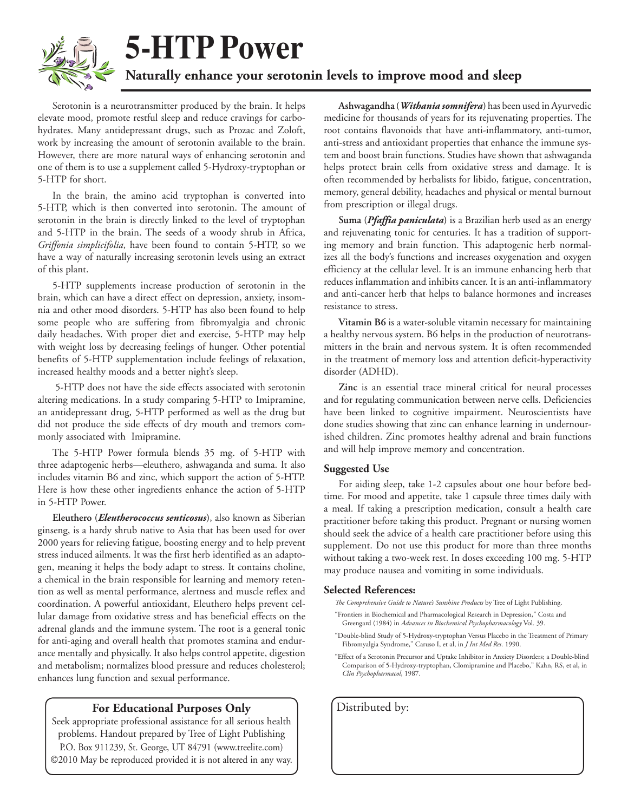

### **5-HTP Power**

#### **Naturally enhance your serotonin levels to improve mood and sleep**

Serotonin is a neurotransmitter produced by the brain. It helps elevate mood, promote restful sleep and reduce cravings for carbohydrates. Many antidepressant drugs, such as Prozac and Zoloft, work by increasing the amount of serotonin available to the brain. However, there are more natural ways of enhancing serotonin and one of them is to use a supplement called 5-Hydroxy-tryptophan or 5-HTP for short.

In the brain, the amino acid tryptophan is converted into 5-HTP, which is then converted into serotonin. The amount of serotonin in the brain is directly linked to the level of tryptophan and 5-HTP in the brain. The seeds of a woody shrub in Africa, *Griffonia simplicifolia*, have been found to contain 5-HTP, so we have a way of naturally increasing serotonin levels using an extract of this plant.

5-HTP supplements increase production of serotonin in the brain, which can have a direct effect on depression, anxiety, insomnia and other mood disorders. 5-HTP has also been found to help some people who are suffering from fibromyalgia and chronic daily headaches. With proper diet and exercise, 5-HTP may help with weight loss by decreasing feelings of hunger. Other potential benefits of 5-HTP supplementation include feelings of relaxation, increased healthy moods and a better night's sleep.

 5-HTP does not have the side effects associated with serotonin altering medications. In a study comparing 5-HTP to Imipramine, an antidepressant drug, 5-HTP performed as well as the drug but did not produce the side effects of dry mouth and tremors commonly associated with Imipramine.

The 5-HTP Power formula blends 35 mg. of 5-HTP with three adaptogenic herbs—eleuthero, ashwaganda and suma. It also includes vitamin B6 and zinc, which support the action of 5-HTP. Here is how these other ingredients enhance the action of 5-HTP in 5-HTP Power.

**Eleuthero (***Eleutherococcus senticosus***)**, also known as Siberian ginseng, is a hardy shrub native to Asia that has been used for over 2000 years for relieving fatigue, boosting energy and to help prevent stress induced ailments. It was the first herb identified as an adaptogen, meaning it helps the body adapt to stress. It contains choline, a chemical in the brain responsible for learning and memory retention as well as mental performance, alertness and muscle reflex and coordination. A powerful antioxidant, Eleuthero helps prevent cellular damage from oxidative stress and has beneficial effects on the adrenal glands and the immune system. The root is a general tonic for anti-aging and overall health that promotes stamina and endurance mentally and physically. It also helps control appetite, digestion and metabolism; normalizes blood pressure and reduces cholesterol; enhances lung function and sexual performance.

#### **For Educational Purposes Only** | Distributed by:

Seek appropriate professional assistance for all serious health problems. Handout prepared by Tree of Light Publishing P.O. Box 911239, St. George, UT 84791 (www.treelite.com) ©2010 May be reproduced provided it is not altered in any way.

**Ashwagandha (***Withania somnifera***)** has been used in Ayurvedic medicine for thousands of years for its rejuvenating properties. The root contains flavonoids that have anti-inflammatory, anti-tumor, anti-stress and antioxidant properties that enhance the immune system and boost brain functions. Studies have shown that ashwaganda helps protect brain cells from oxidative stress and damage. It is often recommended by herbalists for libido, fatigue, concentration, memory, general debility, headaches and physical or mental burnout from prescription or illegal drugs.

**Suma (***Pfaffia paniculata***)** is a Brazilian herb used as an energy and rejuvenating tonic for centuries. It has a tradition of supporting memory and brain function. This adaptogenic herb normalizes all the body's functions and increases oxygenation and oxygen efficiency at the cellular level. It is an immune enhancing herb that reduces inflammation and inhibits cancer. It is an anti-inflammatory and anti-cancer herb that helps to balance hormones and increases resistance to stress.

**Vitamin B6** is a water-soluble vitamin necessary for maintaining a healthy nervous system. B6 helps in the production of neurotransmitters in the brain and nervous system. It is often recommended in the treatment of memory loss and attention deficit-hyperactivity disorder (ADHD).

**Zinc** is an essential trace mineral critical for neural processes and for regulating communication between nerve cells. Deficiencies have been linked to cognitive impairment. Neuroscientists have done studies showing that zinc can enhance learning in undernourished children. Zinc promotes healthy adrenal and brain functions and will help improve memory and concentration.

#### **Suggested Use**

For aiding sleep, take 1-2 capsules about one hour before bedtime. For mood and appetite, take 1 capsule three times daily with a meal. If taking a prescription medication, consult a health care practitioner before taking this product. Pregnant or nursing women should seek the advice of a health care practitioner before using this supplement. Do not use this product for more than three months without taking a two-week rest. In doses exceeding 100 mg. 5-HTP may produce nausea and vomiting in some individuals.

#### **Selected References:**

*The Comprehensive Guide to Nature's Sunshine Products* by Tree of Light Publishing.

- "Frontiers in Biochemical and Pharmacological Research in Depression," Costa and Greengard (1984) in *Advances in Biochemical Psychopharmacology* Vol. 39.
- "Double-blind Study of 5-Hydroxy-tryptophan Versus Placebo in the Treatment of Primary Fibromyalgia Syndrome," Caruso I, et al, in *J Int Med Res*. 1990.
- "Effect of a Serotonin Precursor and Uptake Inhibitor in Anxiety Disorders; a Double-blind Comparison of 5-Hydroxy-tryptophan, Clomipramine and Placebo," Kahn, RS, et al, in *Clin Psychopharmacol*, 1987.